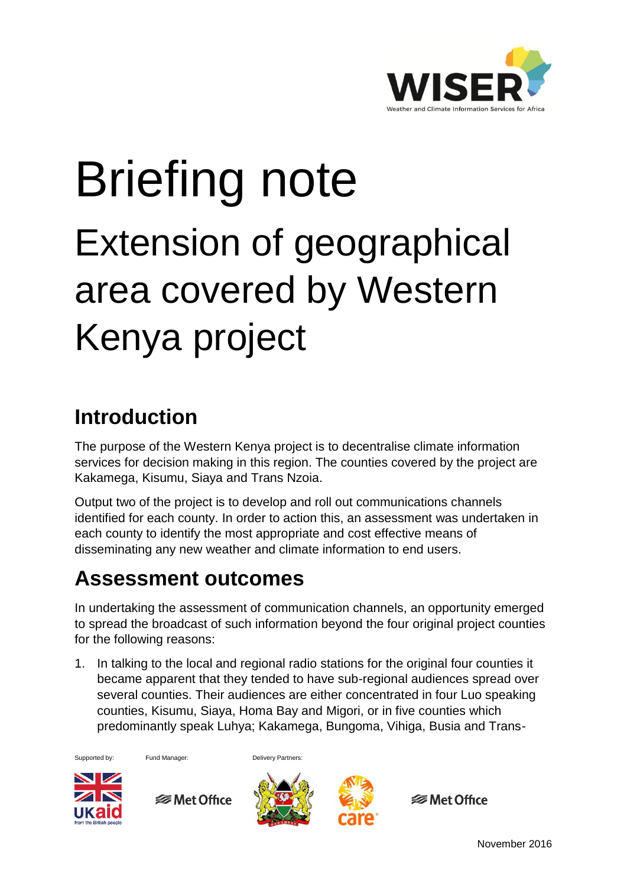

## Briefing note Extension of geographical area covered by Western Kenya project

## **Introduction**

The purpose of the Western Kenya project is to decentralise climate information services for decision making in this region. The counties covered by the project are Kakamega, Kisumu, Siaya and Trans Nzoia.

Output two of the project is to develop and roll out communications channels identified for each county. In order to action this, an assessment was undertaken in each county to identify the most appropriate and cost effective means of disseminating any new weather and climate information to end users.

## **Assessment outcomes**

In undertaking the assessment of communication channels, an opportunity emerged to spread the broadcast of such information beyond the four original project counties for the following reasons:

1. In talking to the local and regional radio stations for the original four counties it became apparent that they tended to have sub-regional audiences spread over several counties. Their audiences are either concentrated in four Luo speaking counties, Kisumu, Siaya, Homa Bay and Migori, or in five counties which predominantly speak Luhya; Kakamega, Bungoma, Vihiga, Busia and Trans-

Supported by: Fund Manager: Delivery Partners:



**<del>■</del>** Met Office





**<del></del>** Met Office